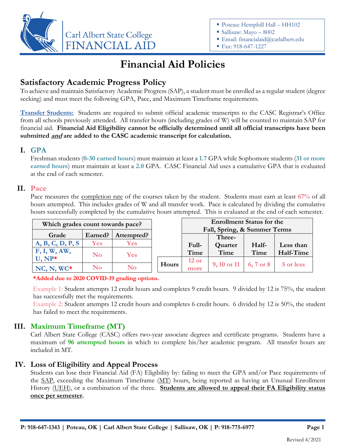

- Poteau: Hemphill Hall HH102
- Sallisaw: Mayo 8002
- Email: financialaid@carlalbert.edu
- Fax: 918-647-1227

# **Financial Aid Policies**

## **Satisfactory Academic Progress Policy**

To achieve and maintain Satisfactory Academic Progress (SAP), a student must be enrolled as a regular student (degree seeking) and must meet the following GPA, Pace, and Maximum Timeframe requirements.

**Transfer Students:** Students are required to submit official academic transcripts to the CASC Registrar's Office from all schools previously attended. All transfer hours (including grades of W) will be counted to maintain SAP for financial aid. **Financial Aid Eligibility cannot be officially determined until all official transcripts have been submitted and are added to the CASC academic transcript for calculation.**

#### **I. GPA**

Freshman students (**0-30 earned hours**) must maintain at least a **1.7** GPA while Sophomore students (**31 or more earned hours**) must maintain at least a **2.0** GPA. CASC Financial Aid uses a cumulative GPA that is evaluated at the end of each semester.

#### **II. Pace**

Pace measures the completion rate of the courses taken by the student. Students must earn at least **67%** of all hours attempted. This includes grades of W and all transfer work. Pace is calculated by dividing the cumulative hours successfully completed by the cumulative hours attempted. This is evaluated at the end of each semester.

| Which grades count towards pace? |            | <b>Enrollment Status for the</b> |       |                              |                       |       |           |
|----------------------------------|------------|----------------------------------|-------|------------------------------|-----------------------|-------|-----------|
|                                  |            |                                  |       | Fall, Spring, & Summer Terms |                       |       |           |
| Grade                            | Earned?    | Attempted?                       |       |                              | Three-                |       |           |
| A, B, C, D, P, S                 | <b>Yes</b> | <b>Yes</b>                       |       | Full-                        | Quarter               | Half- | Less than |
| F, I, W, AW,                     | No         | <b>Yes</b>                       |       | Time                         | Time                  | Time  | Half-Time |
| $U, NP^*$                        |            |                                  |       | $12$ or                      |                       |       |           |
| $NC, N, WC^*$                    | $\bf No$   | $\bf No$                         | Hours | more                         | 9, 10 or 11 6, 7 or 8 |       | 5 or less |

**\*Added due to 2020 COVID-19 grading options.**

Example 1: Student attempts 12 credit hours and completes 9 credit hours. 9 divided by 12 is 75%, the student has successfully met the requirements.

Example 2: Student attempts 12 credit hours and completes 6 credit hours. 6 divided by 12 is 50%, the student has failed to meet the requirements.

#### **III. Maximum Timeframe (MT)**

Carl Albert State College (CASC) offers two-year associate degrees and certificate programs. Students have a maximum of **96 attempted hours** in which to complete his/her academic program. All transfer hours are included in MT.

#### **IV. Loss of Eligibility and Appeal Process**

Students can lose their Financial Aid (FA) Eligibility by: failing to meet the GPA and/or Pace requirements of the SAP, exceeding the Maximum Timeframe (MT) hours, being reported as having an Unusual Enrollment History (UEH), or a combination of the three. **Students are allowed to appeal their FA Eligibility status once per semester.**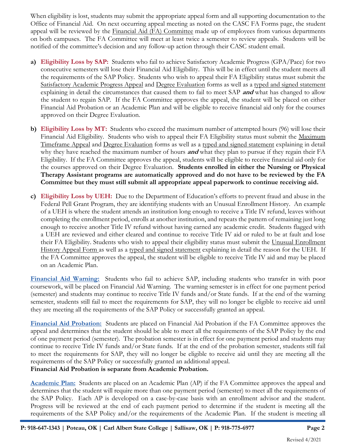When eligibility is lost, students may submit the appropriate appeal form and all supporting documentation to the Office of Financial Aid. On next occurring appeal meeting as noted on the CASC FA Forms page, the student appeal will be reviewed by the Financial Aid (FA) Committee made up of employees from various departments on both campuses. The FA Committee will meet at least twice a semester to review appeals. Students will be notified of the committee's decision and any follow-up action through their CASC student email.

- **a) Eligibility Loss by SAP:** Students who fail to achieve Satisfactory Academic Progress (GPA/Pace) for two consecutive semesters will lose their Financial Aid Eligibility. This will be in effect until the student meets all the requirements of the SAP Policy. Students who wish to appeal their FA Eligibility status must submit the Satisfactory Academic Progress Appeal and Degree Evaluation forms as well as a typed and signed statement explaining in detail the circumstances that caused them to fail to meet SAP **and** what has changed to allow the student to regain SAP. If the FA Committee approves the appeal, the student will be placed on either Financial Aid Probation or an Academic Plan and will be eligible to receive financial aid only for the courses approved on their Degree Evaluation.
- **b) Eligibility Loss by MT:** Students who exceed the maximum number of attempted hours (96) will lose their Financial Aid Eligibility. Students who wish to appeal their FA Eligibility status must submit the Maximum Timeframe Appeal and Degree Evaluation forms as well as a typed and signed statement explaining in detail why they have reached the maximum number of hours **and** what they plan to pursue if they regain their FA Eligibility. If the FA Committee approves the appeal, students will be eligible to receive financial aid only for the courses approved on their Degree Evaluation. **Students enrolled in either the Nursing or Physical Therapy Assistant programs are automatically approved and do not have to be reviewed by the FA Committee but they must still submit all appropriate appeal paperwork to continue receiving aid.**
- **c) Eligibility Loss by UEH:** Due to the Department of Education's efforts to prevent fraud and abuse in the Federal Pell Grant Program, they are identifying students with an Unusual Enrollment History. An example of a UEH is where the student attends an institution long enough to receive a Title IV refund, leaves without completing the enrollment period, enrolls at another institution, and repeats the pattern of remaining just long enough to receive another Title IV refund without having earned any academic credit. Students flagged with a UEH are reviewed and either cleared and continue to receive Title IV aid or ruled to be at fault and lose their FA Eligibility. Students who wish to appeal their eligibility status must submit the Unusual Enrollment History Appeal Form as well as a typed and signed statement explaining in detail the reason for the UEH. If the FA Committee approves the appeal, the student will be eligible to receive Title IV aid and may be placed on an Academic Plan.

**Financial Aid Warning:** Students who fail to achieve SAP, including students who transfer in with poor coursework, will be placed on Financial Aid Warning. The warning semester is in effect for one payment period (semester) and students may continue to receive Title IV funds and/or State funds. If at the end of the warning semester, students still fail to meet the requirements for SAP, they will no longer be eligible to receive aid until they are meeting all the requirements of the SAP Policy or successfully granted an appeal.

**Financial Aid Probation:** Students are placed on Financial Aid Probation if the FA Committee approves the appeal and determines that the student should be able to meet all the requirements of the SAP Policy by the end of one payment period (semester). The probation semester is in effect for one payment period and students may continue to receive Title IV funds and/or State funds. If at the end of the probation semester, students still fail to meet the requirements for SAP, they will no longer be eligible to receive aid until they are meeting all the requirements of the SAP Policy or successfully granted an additional appeal.

**Financial Aid Probation is separate from Academic Probation.**

**Academic Plan:** Students are placed on an Academic Plan (AP) if the FA Committee approves the appeal and determines that the student will require more than one payment period (semester) to meet all the requirements of the SAP Policy. Each AP is developed on a case-by-case basis with an enrollment advisor and the student. Progress will be reviewed at the end of each payment period to determine if the student is meeting all the requirements of the SAP Policy and/or the requirements of the Academic Plan. If the student is meeting all